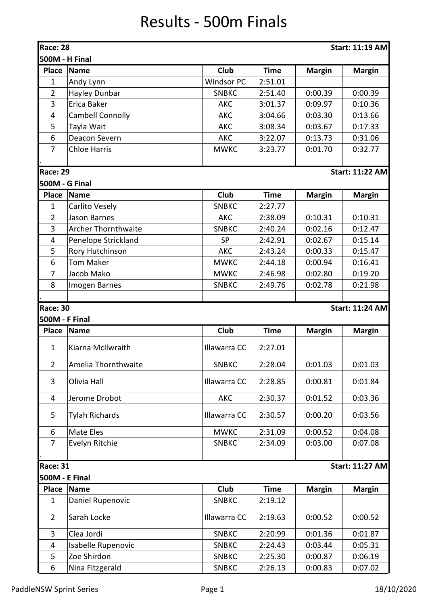## Results - 500m Finals

| <b>Race: 28</b><br><b>Start: 11:19 AM</b> |                            |                   |             |               |                        |  |  |  |
|-------------------------------------------|----------------------------|-------------------|-------------|---------------|------------------------|--|--|--|
| 500M - H Final                            |                            |                   |             |               |                        |  |  |  |
| <b>Place</b>                              | <b>Name</b>                | Club              | <b>Time</b> | <b>Margin</b> | <b>Margin</b>          |  |  |  |
| $\mathbf{1}$                              | Andy Lynn                  | <b>Windsor PC</b> | 2:51.01     |               |                        |  |  |  |
| $\overline{2}$                            | Hayley Dunbar              | <b>SNBKC</b>      | 2:51.40     | 0:00.39       | 0:00.39                |  |  |  |
| 3                                         | Erica Baker                | <b>AKC</b>        | 3:01.37     | 0:09.97       | 0:10.36                |  |  |  |
| 4                                         | <b>Cambell Connolly</b>    | <b>AKC</b>        | 3:04.66     | 0:03.30       | 0:13.66                |  |  |  |
| 5                                         | Tayla Wait                 | <b>AKC</b>        | 3:08.34     | 0:03.67       | 0:17.33                |  |  |  |
| 6                                         | Deacon Severn              | <b>AKC</b>        | 3:22.07     | 0:13.73       | 0:31.06                |  |  |  |
| 7                                         | <b>Chloe Harris</b>        | <b>MWKC</b>       | 3:23.77     | 0:01.70       | 0:32.77                |  |  |  |
|                                           |                            |                   |             |               |                        |  |  |  |
| <b>Race: 29</b>                           |                            |                   |             |               | <b>Start: 11:22 AM</b> |  |  |  |
| 500M - G Final                            |                            |                   |             |               |                        |  |  |  |
| <b>Place</b>                              | <b>Name</b>                | Club              | <b>Time</b> | <b>Margin</b> | <b>Margin</b>          |  |  |  |
| $\mathbf{1}$                              | Carlito Vesely             | <b>SNBKC</b>      | 2:27.77     |               |                        |  |  |  |
| $\overline{2}$                            | Jason Barnes               | <b>AKC</b>        | 2:38.09     | 0:10.31       | 0:10.31                |  |  |  |
| 3                                         | <b>Archer Thornthwaite</b> | <b>SNBKC</b>      | 2:40.24     | 0:02.16       | 0:12.47                |  |  |  |
| 4                                         | Penelope Strickland        | <b>SP</b>         | 2:42.91     | 0:02.67       | 0:15.14                |  |  |  |
| 5                                         | Rory Hutchinson            | <b>AKC</b>        | 2:43.24     | 0:00.33       | 0:15.47                |  |  |  |
| 6                                         | <b>Tom Maker</b>           | <b>MWKC</b>       | 2:44.18     | 0:00.94       | 0:16.41                |  |  |  |
| 7                                         | Jacob Mako                 | <b>MWKC</b>       | 2:46.98     | 0:02.80       | 0:19.20                |  |  |  |
| 8                                         | Imogen Barnes              | <b>SNBKC</b>      | 2:49.76     | 0:02.78       | 0:21.98                |  |  |  |
|                                           |                            |                   |             |               |                        |  |  |  |
| <b>Race: 30</b>                           |                            |                   |             |               | <b>Start: 11:24 AM</b> |  |  |  |
| 500M - F Final                            |                            |                   |             |               |                        |  |  |  |
| <b>Place</b>                              | <b>Name</b>                | Club              | <b>Time</b> | <b>Margin</b> | <b>Margin</b>          |  |  |  |
| $\mathbf{1}$                              | Kiarna McIlwraith          | Illawarra CC      | 2:27.01     |               |                        |  |  |  |
| $\overline{2}$                            | Amelia Thornthwaite        | <b>SNBKC</b>      | 2:28.04     | 0:01.03       | 0:01.03                |  |  |  |
| 3                                         | Olivia Hall                | Illawarra CC      | 2:28.85     | 0:00.81       | 0:01.84                |  |  |  |
| 4                                         | Jerome Drobot              | <b>AKC</b>        | 2:30.37     | 0:01.52       | 0:03.36                |  |  |  |
| 5                                         | <b>Tylah Richards</b>      | Illawarra CC      | 2:30.57     | 0:00.20       | 0:03.56                |  |  |  |
| 6                                         | Mate Eles                  | <b>MWKC</b>       | 2:31.09     | 0:00.52       | 0:04.08                |  |  |  |
| $\overline{7}$                            | Evelyn Ritchie             | <b>SNBKC</b>      | 2:34.09     | 0:03.00       | 0:07.08                |  |  |  |
|                                           |                            |                   |             |               |                        |  |  |  |
| <b>Race: 31</b>                           |                            |                   |             |               | <b>Start: 11:27 AM</b> |  |  |  |
| <b>500M - E Final</b>                     |                            |                   |             |               |                        |  |  |  |
| <b>Place</b>                              | <b>Name</b>                | Club              | <b>Time</b> | <b>Margin</b> | <b>Margin</b>          |  |  |  |
| $\mathbf{1}$                              | Daniel Rupenovic           | <b>SNBKC</b>      | 2:19.12     |               |                        |  |  |  |
| $\overline{2}$                            | Sarah Locke                | Illawarra CC      | 2:19.63     | 0:00.52       | 0:00.52                |  |  |  |
| 3                                         | Clea Jordi                 | <b>SNBKC</b>      | 2:20.99     | 0:01.36       | 0:01.87                |  |  |  |
| 4                                         | Isabelle Rupenovic         | <b>SNBKC</b>      | 2:24.43     | 0:03.44       | 0:05.31                |  |  |  |
| 5                                         | Zoe Shirdon                | <b>SNBKC</b>      | 2:25.30     | 0:00.87       | 0:06.19                |  |  |  |
| 6                                         | Nina Fitzgerald            | <b>SNBKC</b>      | 2:26.13     | 0:00.83       | 0:07.02                |  |  |  |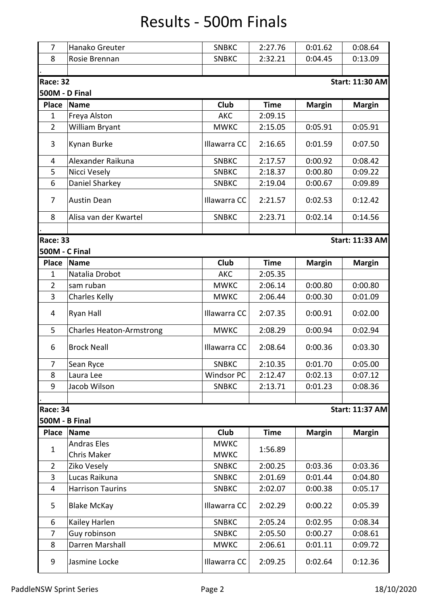## Results - 500m Finals

| $\overline{7}$                     | Hanako Greuter                  | <b>SNBKC</b>      | 2:27.76     | 0:01.62       | 0:08.64                |  |  |  |
|------------------------------------|---------------------------------|-------------------|-------------|---------------|------------------------|--|--|--|
| 8                                  | Rosie Brennan                   | <b>SNBKC</b>      | 2:32.21     | 0:04.45       | 0:13.09                |  |  |  |
|                                    |                                 |                   |             |               |                        |  |  |  |
| Race: 32<br><b>Start: 11:30 AM</b> |                                 |                   |             |               |                        |  |  |  |
| 500M - D Final                     |                                 |                   |             |               |                        |  |  |  |
| <b>Place</b>                       | <b>Name</b>                     | Club              | <b>Time</b> | <b>Margin</b> | <b>Margin</b>          |  |  |  |
| $\mathbf{1}$                       | Freya Alston                    | <b>AKC</b>        | 2:09.15     |               |                        |  |  |  |
| $\overline{2}$                     | William Bryant                  | <b>MWKC</b>       | 2:15.05     | 0:05.91       | 0:05.91                |  |  |  |
| 3                                  | Kynan Burke                     | Illawarra CC      | 2:16.65     | 0:01.59       | 0:07.50                |  |  |  |
| 4                                  | Alexander Raikuna               | <b>SNBKC</b>      | 2:17.57     | 0:00.92       | 0:08.42                |  |  |  |
| 5                                  | Nicci Vesely                    | <b>SNBKC</b>      | 2:18.37     | 0:00.80       | 0:09.22                |  |  |  |
| 6                                  | Daniel Sharkey                  | <b>SNBKC</b>      | 2:19.04     | 0:00.67       | 0:09.89                |  |  |  |
| 7                                  | <b>Austin Dean</b>              | Illawarra CC      | 2:21.57     | 0:02.53       | 0:12.42                |  |  |  |
| 8                                  | Alisa van der Kwartel           | <b>SNBKC</b>      | 2:23.71     | 0:02.14       | 0:14.56                |  |  |  |
|                                    |                                 |                   |             |               |                        |  |  |  |
| Race: 33                           |                                 |                   |             |               | <b>Start: 11:33 AM</b> |  |  |  |
| 500M - C Final                     |                                 |                   |             |               |                        |  |  |  |
| <b>Place</b>                       | <b>Name</b>                     | Club              | <b>Time</b> | <b>Margin</b> | <b>Margin</b>          |  |  |  |
| $\mathbf 1$                        | Natalia Drobot                  | <b>AKC</b>        | 2:05.35     |               |                        |  |  |  |
| $\overline{2}$                     | sam ruban                       | <b>MWKC</b>       | 2:06.14     | 0:00.80       | 0:00.80                |  |  |  |
| 3                                  | Charles Kelly                   | <b>MWKC</b>       | 2:06.44     | 0:00.30       | 0:01.09                |  |  |  |
| 4                                  | Ryan Hall                       | Illawarra CC      | 2:07.35     | 0:00.91       | 0:02.00                |  |  |  |
| 5                                  | <b>Charles Heaton-Armstrong</b> | <b>MWKC</b>       | 2:08.29     | 0:00.94       | 0:02.94                |  |  |  |
| 6                                  | <b>Brock Neall</b>              | Illawarra CC      | 2:08.64     | 0:00.36       | 0:03.30                |  |  |  |
| 7                                  | Sean Ryce                       | <b>SNBKC</b>      | 2:10.35     | 0:01.70       | 0:05.00                |  |  |  |
| 8                                  | Laura Lee                       | <b>Windsor PC</b> | 2:12.47     | 0:02.13       | 0:07.12                |  |  |  |
| 9                                  | Jacob Wilson                    | <b>SNBKC</b>      | 2:13.71     | 0:01.23       | 0:08.36                |  |  |  |
|                                    |                                 |                   |             |               |                        |  |  |  |
| Race: 34                           |                                 |                   |             |               | <b>Start: 11:37 AM</b> |  |  |  |
| 500M - B Final                     |                                 |                   |             |               |                        |  |  |  |
| <b>Place</b>                       | <b>Name</b>                     | Club              | <b>Time</b> | <b>Margin</b> | <b>Margin</b>          |  |  |  |
|                                    | <b>Andras Eles</b>              | <b>MWKC</b>       |             |               |                        |  |  |  |
| $\mathbf{1}$                       | <b>Chris Maker</b>              | <b>MWKC</b>       | 1:56.89     |               |                        |  |  |  |
| $\overline{2}$                     | Ziko Vesely                     | <b>SNBKC</b>      | 2:00.25     | 0:03.36       | 0:03.36                |  |  |  |
| 3                                  | Lucas Raikuna                   | <b>SNBKC</b>      | 2:01.69     | 0:01.44       | 0:04.80                |  |  |  |
| 4                                  | <b>Harrison Taurins</b>         | <b>SNBKC</b>      | 2:02.07     | 0:00.38       | 0:05.17                |  |  |  |
| 5                                  | <b>Blake McKay</b>              | Illawarra CC      | 2:02.29     | 0:00.22       | 0:05.39                |  |  |  |
| 6                                  | Kailey Harlen                   | <b>SNBKC</b>      | 2:05.24     | 0:02.95       | 0:08.34                |  |  |  |
| 7                                  | Guy robinson                    | <b>SNBKC</b>      | 2:05.50     | 0:00.27       | 0:08.61                |  |  |  |
| 8                                  | Darren Marshall                 | <b>MWKC</b>       | 2:06.61     | 0:01.11       | 0:09.72                |  |  |  |
| 9                                  | Jasmine Locke                   | Illawarra CC      | 2:09.25     | 0:02.64       | 0:12.36                |  |  |  |